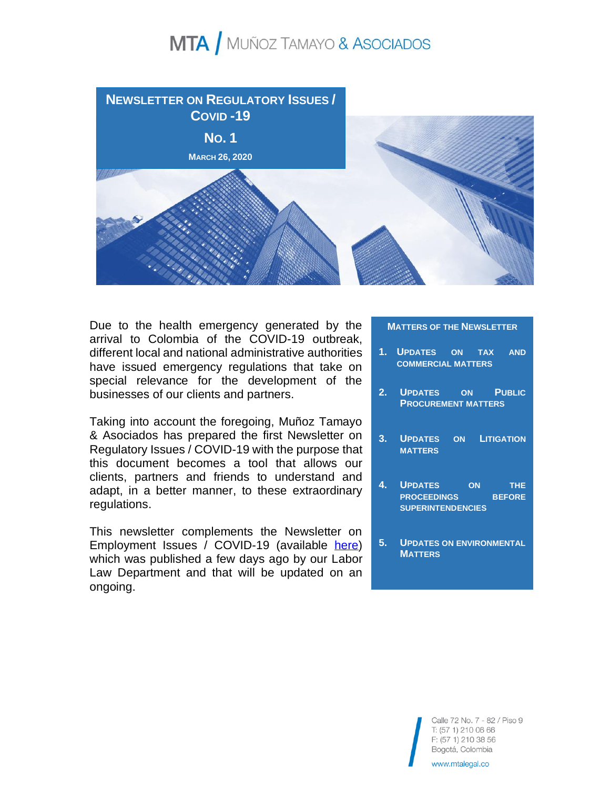

Due to the health emergency generated by the arrival to Colombia of the COVID-19 outbreak, different local and national administrative authorities have issued emergency regulations that take on special relevance for the development of the businesses of our clients and partners.

Taking into account the foregoing, Muñoz Tamayo & Asociados has prepared the first Newsletter on Regulatory Issues / COVID-19 with the purpose that this document becomes a tool that allows our clients, partners and friends to understand and adapt, in a better manner, to these extraordinary regulations.

This newsletter complements the Newsletter on Employment Issues / COVID-19 (available [here\)](https://www.linkedin.com/posts/munoz-tamayo-%26-asociados-abogados_mta-bolet%C3%ADn-novedades-laborales-activity-6647205543033262080-NX15) which was published a few days ago by our Labor Law Department and that will be updated on an ongoing.

#### **MATTERS OF THE NEWSLETTER**

- **1. UPDATES ON TAX AND COMMERCIAL MATTERS**
- **2. UPDATES ON PUBLIC PROCUREMENT MATTERS**
- **3. UPDATES ON LITIGATION MATTERS**
- **4. UPDATES ON THE PROCEEDINGS BEFORE SUPERINTENDENCIES**
- **5. UPDATES ON ENVIRONMENTAL MATTERS**

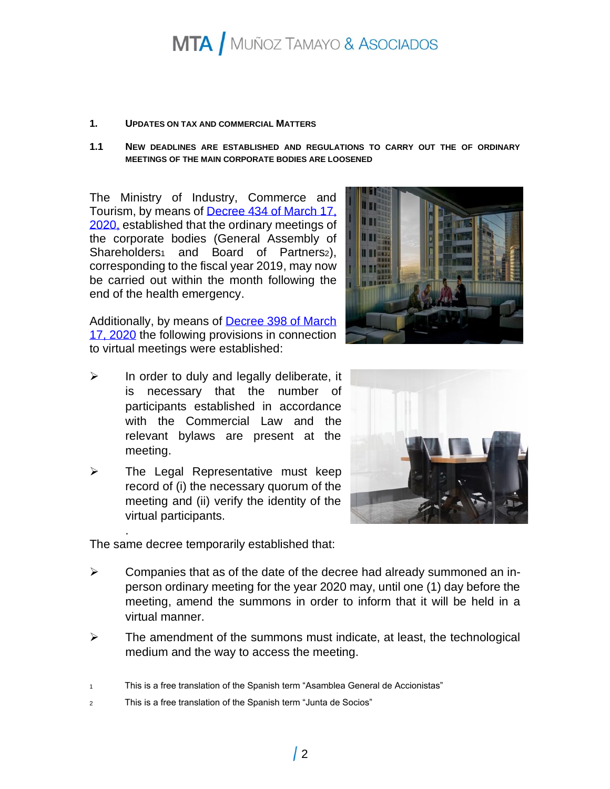#### **1. UPDATES ON TAX AND COMMERCIAL MATTERS**

**1.1 NEW DEADLINES ARE ESTABLISHED AND REGULATIONS TO CARRY OUT THE OF ORDINARY MEETINGS OF THE MAIN CORPORATE BODIES ARE LOOSENED** 

The Ministry of Industry, Commerce and Tourism, by means of [Decree 434 of March 17,](https://dapre.presidencia.gov.co/normativa/normativa/DECRETO%20434%20DEL%2019%20DE%20MARZO%20DE%202020.pdf)  [2020,](https://dapre.presidencia.gov.co/normativa/normativa/DECRETO%20434%20DEL%2019%20DE%20MARZO%20DE%202020.pdf) established that the ordinary meetings of the corporate bodies (General Assembly of Shareholders<sub>1</sub> and Board of Partners<sub>2</sub>), corresponding to the fiscal year 2019, may now be carried out within the month following the end of the health emergency.

Additionally, by means of [Decree 398 of March](https://dapre.presidencia.gov.co/normativa/normativa/DECRETO%20398%20DEL%2013%20DE%20MARZO%20DE%202020.pdf)  [17, 2020](https://dapre.presidencia.gov.co/normativa/normativa/DECRETO%20398%20DEL%2013%20DE%20MARZO%20DE%202020.pdf) the following provisions in connection to virtual meetings were established:

- $\triangleright$  In order to duly and legally deliberate, it is necessary that the number of participants established in accordance with the Commercial Law and the relevant bylaws are present at the meeting.
- $\triangleright$  The Legal Representative must keep record of (i) the necessary quorum of the meeting and (ii) verify the identity of the virtual participants.

The same decree temporarily established that:

.

- $\triangleright$  Companies that as of the date of the decree had already summoned an inperson ordinary meeting for the year 2020 may, until one (1) day before the meeting, amend the summons in order to inform that it will be held in a virtual manner.
- $\triangleright$  The amendment of the summons must indicate, at least, the technological medium and the way to access the meeting.

<sup>1</sup> This is a free translation of the Spanish term "Asamblea General de Accionistas"

<sup>2</sup> This is a free translation of the Spanish term "Junta de Socios"

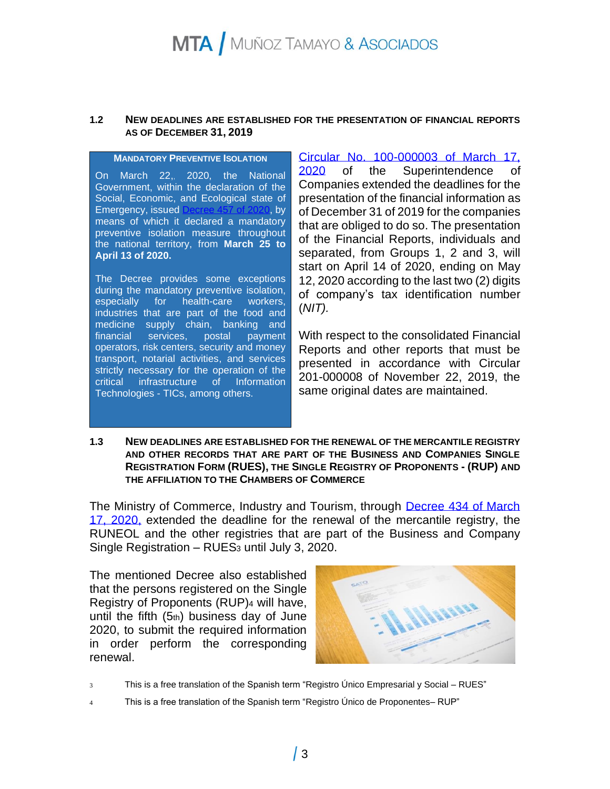#### **1.2 NEW DEADLINES ARE ESTABLISHED FOR THE PRESENTATION OF FINANCIAL REPORTS AS OF DECEMBER 31, 2019**

#### **MANDATORY PREVENTIVE ISOLATION**

On March 22,, 2020, the National Government, within the declaration of the Social, Economic, and Ecological state of Emergency, issued [Decree 457 of 2020,](https://id.presidencia.gov.co/Documents/200323-Decreto-457.pdf) by means of which it declared a mandatory preventive isolation measure throughout the national territory, from **March 25 to April 13 of 2020.**

The Decree provides some exceptions during the mandatory preventive isolation, especially for health-care workers, industries that are part of the food and medicine supply chain, banking and financial services, postal payment operators, risk centers, security and money transport, notarial activities, and services strictly necessary for the operation of the critical infrastructure of Information Technologies - TICs, among others.

[Circular No. 100-000003 of March 17,](https://www.supersociedades.gov.co/nuestra_entidad/normatividad/normatividad_circulares/Circular_100-000003_de_17_de_marzo_de_2020.pdf)  [2020](https://www.supersociedades.gov.co/nuestra_entidad/normatividad/normatividad_circulares/Circular_100-000003_de_17_de_marzo_de_2020.pdf) of the Superintendence of Companies extended the deadlines for the presentation of the financial information as of December 31 of 2019 for the companies that are obliged to do so. The presentation of the Financial Reports, individuals and separated, from Groups 1, 2 and 3, will start on April 14 of 2020, ending on May 12, 2020 according to the last two (2) digits of company's tax identification number (*NIT).*

With respect to the consolidated Financial Reports and other reports that must be presented in accordance with Circular 201-000008 of November 22, 2019, the same original dates are maintained.

#### **1.3 NEW DEADLINES ARE ESTABLISHED FOR THE RENEWAL OF THE MERCANTILE REGISTRY AND OTHER RECORDS THAT ARE PART OF THE BUSINESS AND COMPANIES SINGLE REGISTRATION FORM (RUES), THE SINGLE REGISTRY OF PROPONENTS - (RUP) AND THE AFFILIATION TO THE CHAMBERS OF COMMERCE**

The Ministry of Commerce, Industry and Tourism, through Decree 434 of March 17, [2020,](https://dapre.presidencia.gov.co/normativa/normativa/DECRETO%20434%20DEL%2019%20DE%20MARZO%20DE%202020.pdf) extended the deadline for the renewal of the mercantile registry, the RUNEOL and the other registries that are part of the Business and Company Single Registration – RUES<sub>3</sub> until July 3, 2020.

The mentioned Decree also established that the persons registered on the Single Registry of Proponents (RUP)<sup>4</sup> will have, until the fifth  $(5<sub>th</sub>)$  business day of June 2020, to submit the required information in order perform the corresponding renewal.



- 3 This is a free translation of the Spanish term "Registro Único Empresarial y Social RUES"
- 4 This is a free translation of the Spanish term "Registro Único de Proponentes– RUP"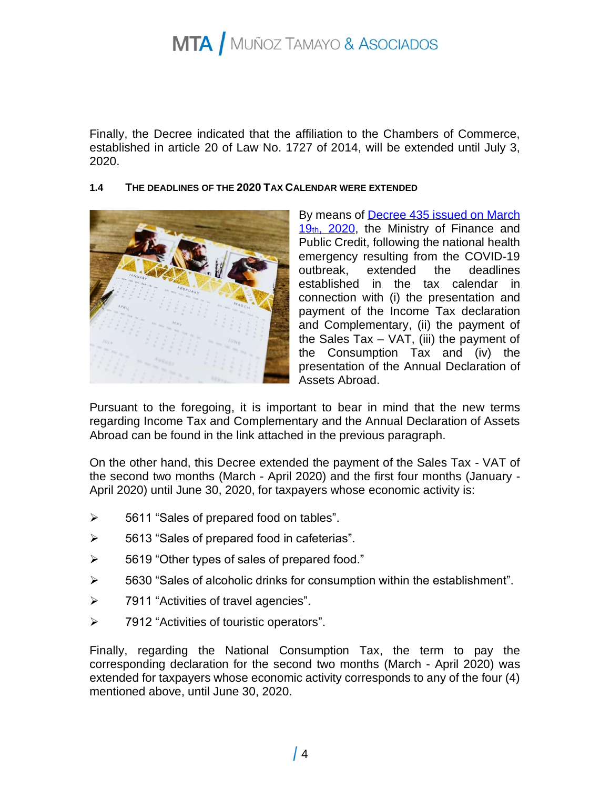Finally, the Decree indicated that the affiliation to the Chambers of Commerce, established in article 20 of Law No. 1727 of 2014, will be extended until July 3, 2020.

#### **1.4 THE DEADLINES OF THE 2020 TAX CALENDAR WERE EXTENDED**



By means of [Decree 435 issued on](https://dapre.presidencia.gov.co/normativa/normativa/DECRETO%20435%20DEL%2019%20DE%20MARZO%20DE%202020.pdf) March 19th, 2020, the Ministry of Finance and Public Credit, following the national health emergency resulting from the COVID-19 outbreak, extended the deadlines established in the tax calendar in connection with (i) the presentation and payment of the Income Tax declaration and Complementary, (ii) the payment of the Sales Tax  $-$  VAT, (iii) the payment of the Consumption Tax and (iv) the presentation of the Annual Declaration of Assets Abroad.

Pursuant to the foregoing, it is important to bear in mind that the new terms regarding Income Tax and Complementary and the Annual Declaration of Assets Abroad can be found in the link attached in the previous paragraph.

On the other hand, this Decree extended the payment of the Sales Tax - VAT of the second two months (March - April 2020) and the first four months (January - April 2020) until June 30, 2020, for taxpayers whose economic activity is:

- ➢ 5611 "Sales of prepared food on tables".
- ➢ 5613 "Sales of prepared food in cafeterias".
- ➢ 5619 "Other types of sales of prepared food."
- ➢ 5630 "Sales of alcoholic drinks for consumption within the establishment".
- ➢ 7911 "Activities of travel agencies".
- ➢ 7912 "Activities of touristic operators".

Finally, regarding the National Consumption Tax, the term to pay the corresponding declaration for the second two months (March - April 2020) was extended for taxpayers whose economic activity corresponds to any of the four (4) mentioned above, until June 30, 2020.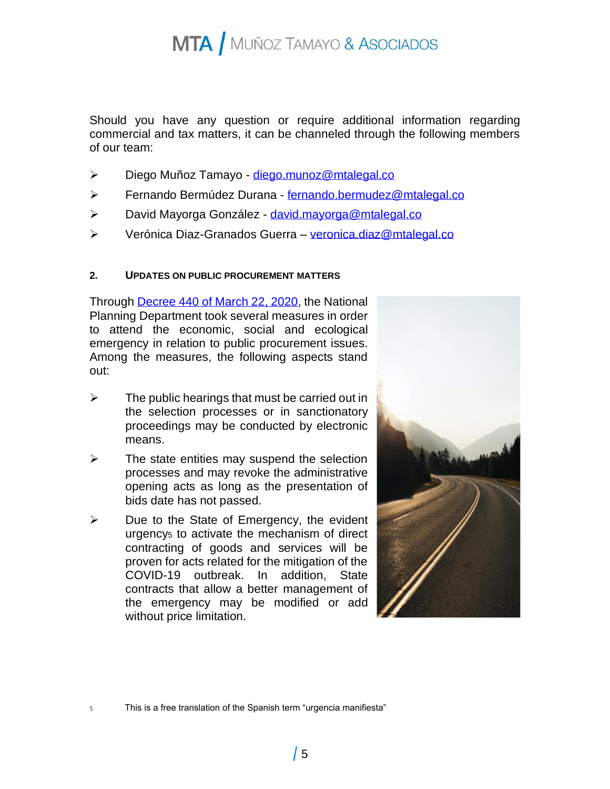Should you have any question or require additional information regarding commercial and tax matters, it can be channeled through the following members of our team:

- ➢ Diego Muñoz Tamayo [diego.munoz@mtalegal.co](mailto:diego.munoz@mtalegal.co)
- ➢ Fernando Bermúdez Durana [fernando.bermudez@mtalegal.co](mailto:fernando.bermudez@mtalegal.co)
- ➢ David Mayorga González [david.mayorga@mtalegal.co](mailto:david.mayorga@mtalegal.co)
- ➢ Verónica Diaz-Granados Guerra [veronica.diaz@mtalegal.co](mailto:veronica.diaz@mtalegal.co)

#### **2. UPDATES ON PUBLIC PROCUREMENT MATTERS**

Through [Decree 440 of](https://dapre.presidencia.gov.co/normativa/normativa/DECRETO%20440%20DEL%2020%20DE%20MARZO%20DE%202020.pdf) March 22, 2020, the National Planning Department took several measures in order to attend the economic, social and ecological emergency in relation to public procurement issues. Among the measures, the following aspects stand out:

- $\triangleright$  The public hearings that must be carried out in the selection processes or in sanctionatory proceedings may be conducted by electronic means.
- $\triangleright$  The state entities may suspend the selection processes and may revoke the administrative opening acts as long as the presentation of bids date has not passed.
- $\triangleright$  Due to the State of Emergency, the evident urgency<sub>5</sub> to activate the mechanism of direct contracting of goods and services will be proven for acts related for the mitigation of the COVID-19 outbreak. In addition, State contracts that allow a better management of the emergency may be modified or add without price limitation.



5 This is a free translation of the Spanish term "urgencia manifiesta"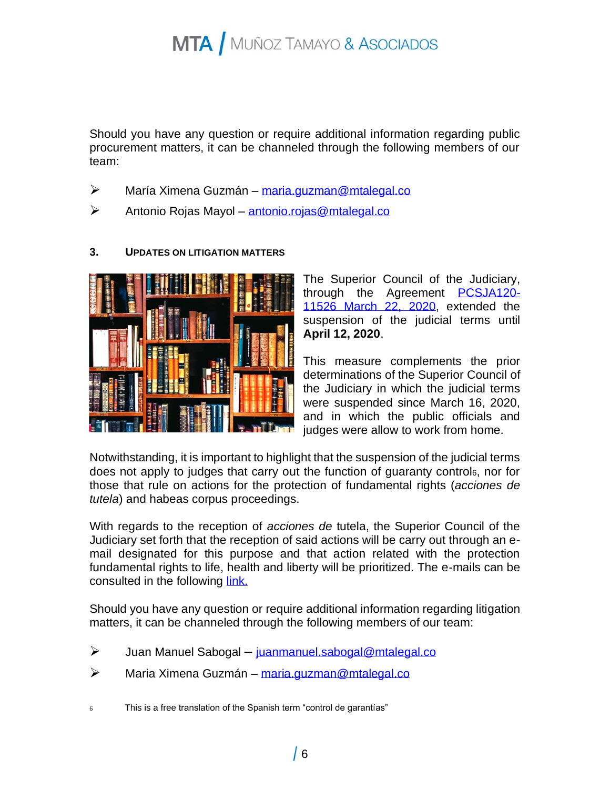Should you have any question or require additional information regarding public procurement matters, it can be channeled through the following members of our team:

- ➢ María Ximena Guzmán [maria.guzman@mtalegal.co](mailto:maria.guzman@mtalegal.co)
- ➢ Antonio Rojas Mayol [antonio.rojas@mtalegal.co](mailto:antonio.rojas@mtalegal.co)

### **3. UPDATES ON LITIGATION MATTERS**

The Superior Council of the Judiciary, through the Agreement **[PCSJA120-](http://actosadministrativos.ramajudicial.gov.co/GetFile.ashx?url=%7e%2fApp_Data%2fUpload%2fPCSJA20-11526.pdf)** [11526 March 22, 2020,](http://actosadministrativos.ramajudicial.gov.co/GetFile.ashx?url=%7e%2fApp_Data%2fUpload%2fPCSJA20-11526.pdf) extended the suspension of the judicial terms until **April 12, 2020**.

This measure complements the prior determinations of the Superior Council of the Judiciary in which the judicial terms were suspended since March 16, 2020, and in which the public officials and judges were allow to work from home.

Notwithstanding, it is important to highlight that the suspension of the judicial terms does not apply to judges that carry out the function of guaranty control6, nor for those that rule on actions for the protection of fundamental rights (*acciones de tutela*) and habeas corpus proceedings.

With regards to the reception of *acciones de* tutela, the Superior Council of the Judiciary set forth that the reception of said actions will be carry out through an email designated for this purpose and that action related with the protection fundamental rights to life, health and liberty will be prioritized. The e-mails can be consulted in the following [link.](https://www.ramajudicial.gov.co/web/guest/-/medidas-transitorias-para-presentar-tutelas-y-habeas-corpus-por-correo-electronico)

Should you have any question or require additional information regarding litigation matters, it can be channeled through the following members of our team:

- ➢ Juan Manuel Sabogal [juanmanuel.sabogal@mtalegal.co](mailto:juanmanuel.sabogal@mtalegal.co)
- ➢ Maria Ximena Guzmán [maria.guzman@mtalegal.co](mailto:maria.guzman@mtalegal.co)
- 6 This is a free translation of the Spanish term "control de garantías"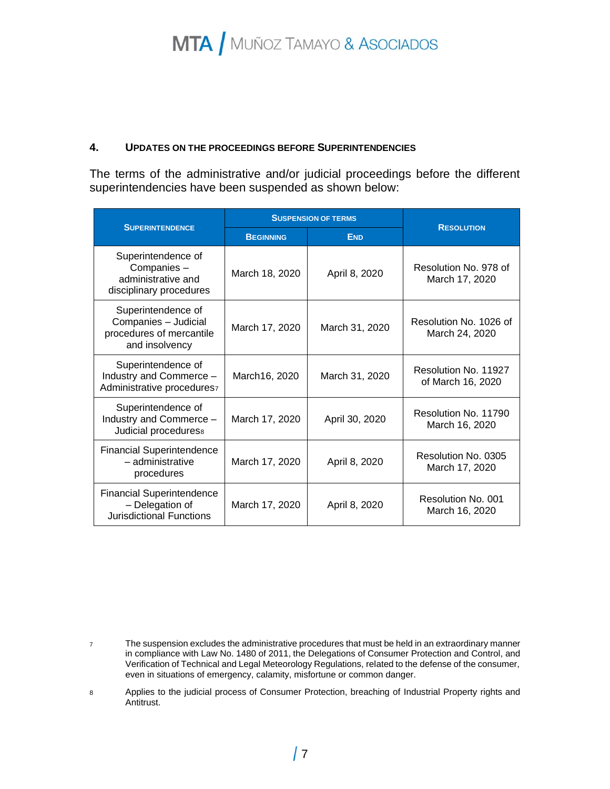#### **4. UPDATES ON THE PROCEEDINGS BEFORE SUPERINTENDENCIES**

The terms of the administrative and/or judicial proceedings before the different superintendencies have been suspended as shown below:

| <b>SUPERINTENDENCE</b>                                                                   | <b>SUSPENSION OF TERMS</b> |                |                                           |
|------------------------------------------------------------------------------------------|----------------------------|----------------|-------------------------------------------|
|                                                                                          | <b>BEGINNING</b>           | <b>END</b>     | <b>RESOLUTION</b>                         |
| Superintendence of<br>Companies-<br>administrative and<br>disciplinary procedures        | March 18, 2020             | April 8, 2020  | Resolution No. 978 of<br>March 17, 2020   |
| Superintendence of<br>Companies - Judicial<br>procedures of mercantile<br>and insolvency | March 17, 2020             | March 31, 2020 | Resolution No. 1026 of<br>March 24, 2020  |
| Superintendence of<br>Industry and Commerce -<br>Administrative procedures7              | March16, 2020              | March 31, 2020 | Resolution No. 11927<br>of March 16, 2020 |
| Superintendence of<br>Industry and Commerce -<br>Judicial procedures <sup>8</sup>        | March 17, 2020             | April 30, 2020 | Resolution No. 11790<br>March 16, 2020    |
| <b>Financial Superintendence</b><br>- administrative<br>procedures                       | March 17, 2020             | April 8, 2020  | Resolution No. 0305<br>March 17, 2020     |
| <b>Financial Superintendence</b><br>- Delegation of<br><b>Jurisdictional Functions</b>   | March 17, 2020             | April 8, 2020  | Resolution No. 001<br>March 16, 2020      |

<sup>7</sup> The suspension excludes the administrative procedures that must be held in an extraordinary manner in compliance with Law No. 1480 of 2011, the Delegations of Consumer Protection and Control, and Verification of Technical and Legal Meteorology Regulations, related to the defense of the consumer, even in situations of emergency, calamity, misfortune or common danger.

<sup>8</sup> Applies to the judicial process of Consumer Protection, breaching of Industrial Property rights and Antitrust.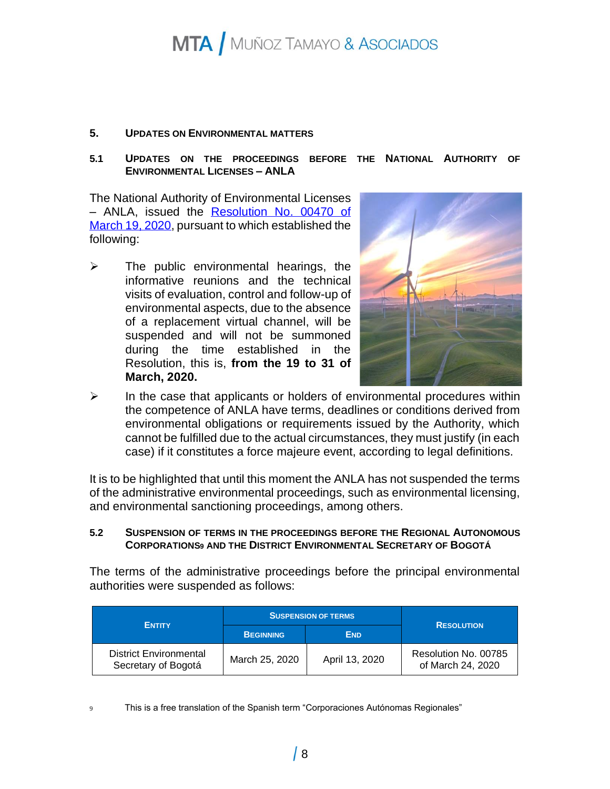#### **5. UPDATES ON ENVIRONMENTAL MATTERS**

#### **5.1 UPDATES ON THE PROCEEDINGS BEFORE THE NATIONAL AUTHORITY OF ENVIRONMENTAL LICENSES – ANLA**

The National Authority of Environmental Licenses – ANLA, issued the [Resolution No. 00470 of](http://www.anla.gov.co/documentos/Comunicaciones/19-03-2020-anla-res-00470-1903200.pdf)  [March 19, 2020,](http://www.anla.gov.co/documentos/Comunicaciones/19-03-2020-anla-res-00470-1903200.pdf) pursuant to which established the following:

 $\triangleright$  The public environmental hearings, the informative reunions and the technical visits of evaluation, control and follow-up of environmental aspects, due to the absence of a replacement virtual channel, will be suspended and will not be summoned during the time established in the Resolution, this is, **from the 19 to 31 of March, 2020.** 



 $\triangleright$  In the case that applicants or holders of environmental procedures within the competence of ANLA have terms, deadlines or conditions derived from environmental obligations or requirements issued by the Authority, which cannot be fulfilled due to the actual circumstances, they must justify (in each case) if it constitutes a force majeure event, according to legal definitions.

It is to be highlighted that until this moment the ANLA has not suspended the terms of the administrative environmental proceedings, such as environmental licensing, and environmental sanctioning proceedings, among others.

#### **5.2 SUSPENSION OF TERMS IN THE PROCEEDINGS BEFORE THE REGIONAL AUTONOMOUS CORPORATIONS<sup>9</sup> AND THE DISTRICT ENVIRONMENTAL SECRETARY OF BOGOTÁ**

The terms of the administrative proceedings before the principal environmental authorities were suspended as follows:

| <b>ENTITY</b>                                        | <b>SUSPENSION OF TERMS</b> |                | <b>RESOLUTION</b>                         |
|------------------------------------------------------|----------------------------|----------------|-------------------------------------------|
|                                                      | <b>BEGINNING</b>           | <b>END</b>     |                                           |
| <b>District Environmental</b><br>Secretary of Bogotá | March 25, 2020             | April 13, 2020 | Resolution No. 00785<br>of March 24, 2020 |

9 This is a free translation of the Spanish term "Corporaciones Autónomas Regionales"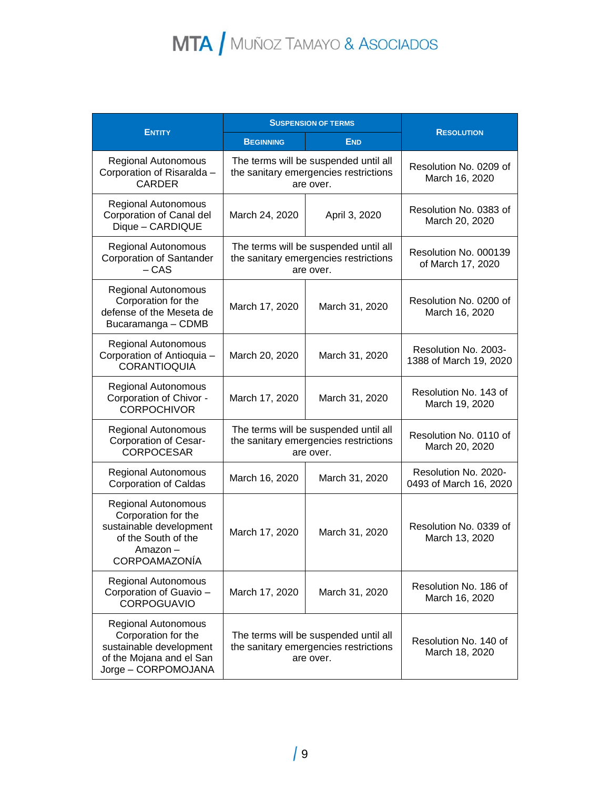|                                                                                                                                 | <b>SUSPENSION OF TERMS</b>                                                                  |                |                                                |
|---------------------------------------------------------------------------------------------------------------------------------|---------------------------------------------------------------------------------------------|----------------|------------------------------------------------|
| <b>ENTITY</b>                                                                                                                   | <b>BEGINNING</b>                                                                            | <b>END</b>     | <b>RESOLUTION</b>                              |
| <b>Regional Autonomous</b><br>Corporation of Risaralda -<br><b>CARDER</b>                                                       | The terms will be suspended until all<br>the sanitary emergencies restrictions<br>are over. |                | Resolution No. 0209 of<br>March 16, 2020       |
| <b>Regional Autonomous</b><br>Corporation of Canal del<br>Dique - CARDIQUE                                                      | March 24, 2020                                                                              | April 3, 2020  | Resolution No. 0383 of<br>March 20, 2020       |
| <b>Regional Autonomous</b><br><b>Corporation of Santander</b><br>$-CAS$                                                         | The terms will be suspended until all<br>the sanitary emergencies restrictions<br>are over. |                | Resolution No. 000139<br>of March 17, 2020     |
| <b>Regional Autonomous</b><br>Corporation for the<br>defense of the Meseta de<br>Bucaramanga - CDMB                             | March 17, 2020                                                                              | March 31, 2020 | Resolution No. 0200 of<br>March 16, 2020       |
| <b>Regional Autonomous</b><br>Corporation of Antioquia -<br><b>CORANTIOQUIA</b>                                                 | March 20, 2020                                                                              | March 31, 2020 | Resolution No. 2003-<br>1388 of March 19, 2020 |
| <b>Regional Autonomous</b><br>Corporation of Chivor -<br><b>CORPOCHIVOR</b>                                                     | March 17, 2020                                                                              | March 31, 2020 | Resolution No. 143 of<br>March 19, 2020        |
| <b>Regional Autonomous</b><br>Corporation of Cesar-<br><b>CORPOCESAR</b>                                                        | The terms will be suspended until all<br>the sanitary emergencies restrictions<br>are over. |                | Resolution No. 0110 of<br>March 20, 2020       |
| <b>Regional Autonomous</b><br><b>Corporation of Caldas</b>                                                                      | March 16, 2020                                                                              | March 31, 2020 | Resolution No. 2020-<br>0493 of March 16, 2020 |
| <b>Regional Autonomous</b><br>Corporation for the<br>sustainable development<br>of the South of the<br>Amazon-<br>CORPOAMAZONÍA | March 17, 2020                                                                              | March 31, 2020 | Resolution No. 0339 of<br>March 13, 2020       |
| <b>Regional Autonomous</b><br>Corporation of Guavio -<br><b>CORPOGUAVIO</b>                                                     | March 17, 2020                                                                              | March 31, 2020 | Resolution No. 186 of<br>March 16, 2020        |
| <b>Regional Autonomous</b><br>Corporation for the<br>sustainable development<br>of the Mojana and el San<br>Jorge - CORPOMOJANA | The terms will be suspended until all<br>the sanitary emergencies restrictions<br>are over. |                | Resolution No. 140 of<br>March 18, 2020        |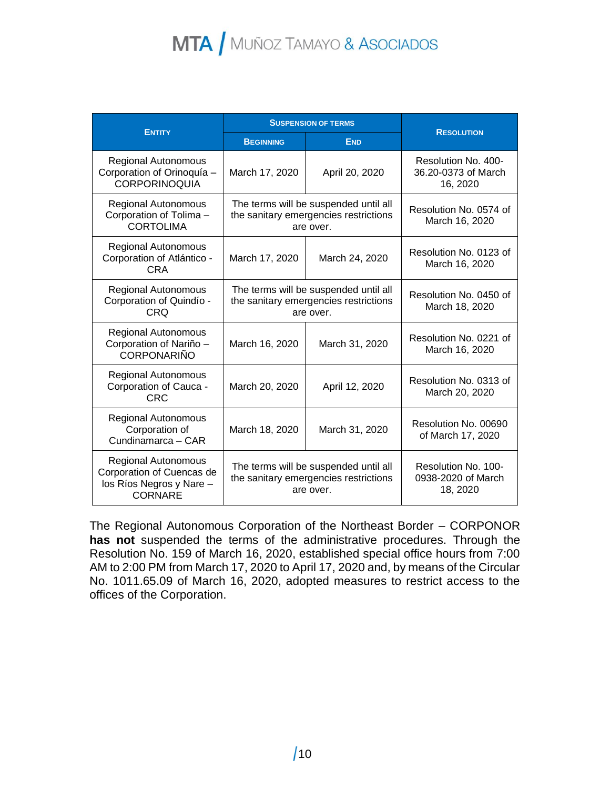|                                                                                                | <b>SUSPENSION OF TERMS</b>                                                                  |                |                                                        |
|------------------------------------------------------------------------------------------------|---------------------------------------------------------------------------------------------|----------------|--------------------------------------------------------|
| <b>ENTITY</b>                                                                                  | <b>BEGINNING</b>                                                                            | <b>END</b>     | <b>RESOLUTION</b>                                      |
| <b>Regional Autonomous</b><br>Corporation of Orinoquía -<br><b>CORPORINOQUIA</b>               | March 17, 2020                                                                              | April 20, 2020 | Resolution No. 400-<br>36.20-0373 of March<br>16, 2020 |
| Regional Autonomous<br>Corporation of Tolima-<br><b>CORTOLIMA</b>                              | The terms will be suspended until all<br>the sanitary emergencies restrictions<br>are over. |                | Resolution No. 0574 of<br>March 16, 2020               |
| Regional Autonomous<br>Corporation of Atlántico -<br>CRA                                       | March 17, 2020                                                                              | March 24, 2020 | Resolution No. 0123 of<br>March 16, 2020               |
| <b>Regional Autonomous</b><br>Corporation of Quindío -<br><b>CRQ</b>                           | The terms will be suspended until all<br>the sanitary emergencies restrictions<br>are over. |                | Resolution No. 0450 of<br>March 18, 2020               |
| <b>Regional Autonomous</b><br>Corporation of Nariño -<br><b>CORPONARIÑO</b>                    | March 16, 2020                                                                              | March 31, 2020 | Resolution No. 0221 of<br>March 16, 2020               |
| <b>Regional Autonomous</b><br>Corporation of Cauca -<br><b>CRC</b>                             | March 20, 2020                                                                              | April 12, 2020 | Resolution No. 0313 of<br>March 20, 2020               |
| <b>Regional Autonomous</b><br>Corporation of<br>Cundinamarca - CAR                             | March 18, 2020                                                                              | March 31, 2020 | Resolution No. 00690<br>of March 17, 2020              |
| Regional Autonomous<br>Corporation of Cuencas de<br>los Ríos Negros y Nare -<br><b>CORNARE</b> | The terms will be suspended until all<br>the sanitary emergencies restrictions<br>are over. |                | Resolution No. 100-<br>0938-2020 of March<br>18, 2020  |

The Regional Autonomous Corporation of the Northeast Border – CORPONOR **has not** suspended the terms of the administrative procedures. Through the Resolution No. 159 of March 16, 2020, established special office hours from 7:00 AM to 2:00 PM from March 17, 2020 to April 17, 2020 and, by means of the Circular No. 1011.65.09 of March 16, 2020, adopted measures to restrict access to the offices of the Corporation.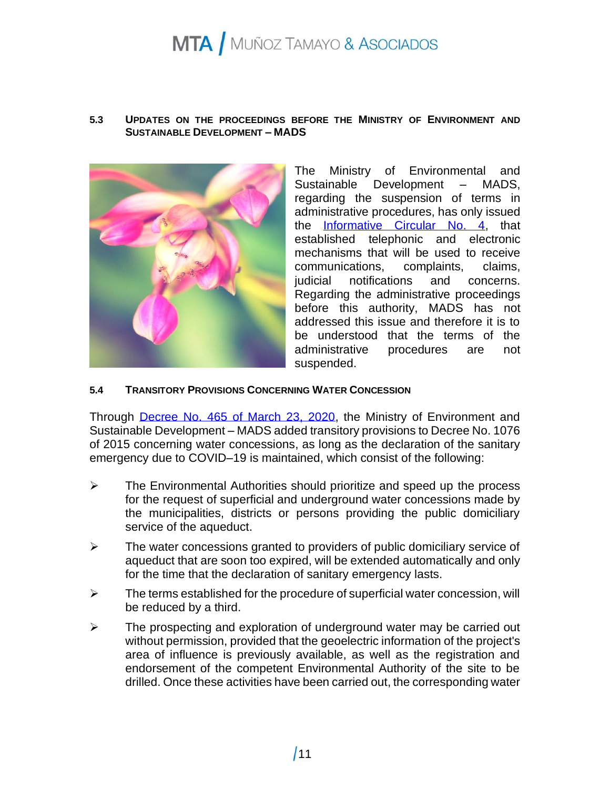#### **5.3 UPDATES ON THE PROCEEDINGS BEFORE THE MINISTRY OF ENVIRONMENT AND SUSTAINABLE DEVELOPMENT – MADS**



The Ministry of Environmental and Sustainable Development – MADS, regarding the suspension of terms in administrative procedures, has only issued the [Informative Circular No. 4,](https://www.minambiente.gov.co/images/COVIT19/comunicados/Circular_04_Prevencion_COVID-19.pdf.pdf) that established telephonic and electronic mechanisms that will be used to receive communications, complaints, claims, judicial notifications and concerns. Regarding the administrative proceedings before this authority, MADS has not addressed this issue and therefore it is to be understood that the terms of the administrative procedures are not suspended.

#### **5.4 TRANSITORY PROVISIONS CONCERNING WATER CONCESSION**

Through [Decree No. 465 of March 23, 2020,](http://www.minambiente.gov.co/images/DECRETO_465_DEL_23_DE_MARZO_DE_2020.pdf.pdf.pdf) the Ministry of Environment and Sustainable Development – MADS added transitory provisions to Decree No. 1076 of 2015 concerning water concessions, as long as the declaration of the sanitary emergency due to COVID–19 is maintained, which consist of the following:

- ➢ The Environmental Authorities should prioritize and speed up the process for the request of superficial and underground water concessions made by the municipalities, districts or persons providing the public domiciliary service of the aqueduct.
- ➢ The water concessions granted to providers of public domiciliary service of aqueduct that are soon too expired, will be extended automatically and only for the time that the declaration of sanitary emergency lasts.
- $\triangleright$  The terms established for the procedure of superficial water concession, will be reduced by a third.
- ➢ The prospecting and exploration of underground water may be carried out without permission, provided that the geoelectric information of the project's area of influence is previously available, as well as the registration and endorsement of the competent Environmental Authority of the site to be drilled. Once these activities have been carried out, the corresponding water